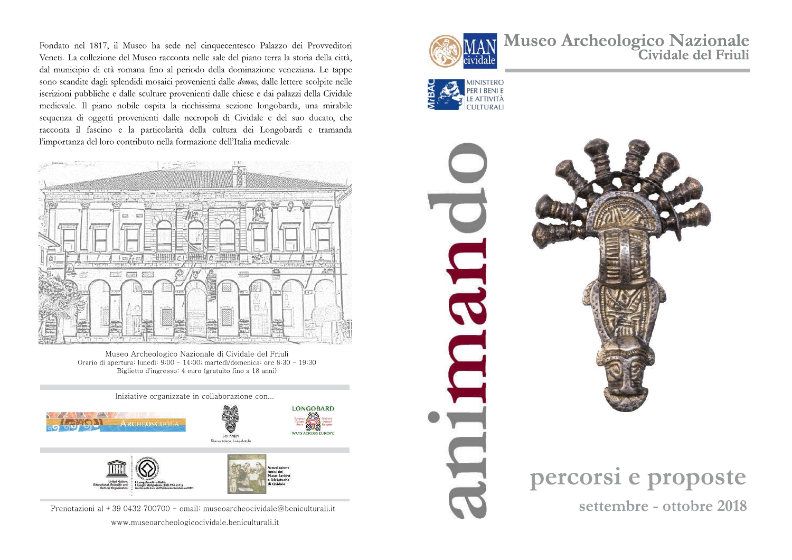Fondato nel 1817, il Museo ha sede nel cinquecentesco Palazzo dei Provveditori Veneti. La collezione del Museo racconta nelle sale del piano terra la storia della città, dal municipio di età romana fino al periodo della dominazione veneziana. Le tappe sono scandite dagli splendidi mosaici provenienti dalle *domus*, dalle lettere scolpite nelle iscrizioni pubbliche e dalle sculture provenienti dalle chiese e dai palazzi della Cividale medievale. Il piano nobile ospita la ricchissima sezione longobarda, una mirabile sequenza di oggetti provenienti dalle necropoli di Cividale e del suo ducato, che racconta il fascino e la particolarità della cultura dei Longobardi e tramanda l'importanza del loro contributo nella formazione dell'Italia medievale.



Orario di apertura: lunedì: 9:00 - 14:00; martedì/domenica: ore 8:30 - 19:30 Biglietto d'ingresso: 4 euro (gratuito fino a 18 anni)



Prenotazioni al + 39 0432 700700 - email: museoarcheocividale@beniculturali.it

www.museoarcheologicocividale.beniculturali.it



Museo Archeologico Nazionale<br>Cividale del Friuli





percorsi e proposte settembre - ottobre 2018